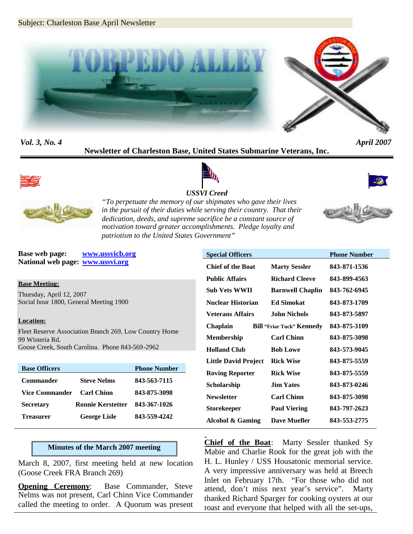

*Vol. 3, No. 4 April 2007* **Newsletter of Charleston Base, United States Submarine Veterans, Inc.**







*USSVI Creed "To perpetuate the memory of our shipmates who gave their lives in the pursuit of their duties while serving their country. That their dedication, deeds, and supreme sacrifice be a constant source of motivation toward greater accomplishments. Pledge loyalty and*



*patriotism to the United States Government"* **Base web page: www.ussvicb.org**

**National web page: www.ussvi.org**

### **Base Meeting:**

Thursday, April 12, 2007 Social hour 1800, General Meeting 1900

### **Location:**

Fleet Reserve Association Branch 269, Low Country Home 99 Wisteria Rd. Goose Creek, South Carolina. Phone 843-569-2962

| <b>Base Officers</b>  |                          | <b>Phone Number</b> |
|-----------------------|--------------------------|---------------------|
| Commander             | <b>Steve Nelms</b>       | 843-563-7115        |
| <b>Vice Commander</b> | <b>Carl Chinn</b>        | 843-875-3098        |
| <b>Secretary</b>      | <b>Ronnie Kerstetter</b> | 843-367-1026        |
| Treasurer             | <b>George Lisle</b>      | 843-559-4242        |

### **Minutes of the March 2007 meeting**

March 8, 2007, first meeting held at new location (Goose Creek FRA Branch 269)

**Opening Ceremony:** Base Commander, Steve Nelms was not present, Carl Chinn Vice Commander called the meeting to order. A Quorum was present

| <b>Special Officers</b>     |                                  | <b>Phone Number</b> |
|-----------------------------|----------------------------------|---------------------|
| <b>Chief of the Boat</b>    | <b>Marty Sessler</b>             | 843-871-1536        |
| <b>Public Affairs</b>       | Richard Cleeve                   | 843-899-4563        |
| Sub Vets WWII               | <b>Barnwell Chaplin</b>          | 843-762-6945        |
| Nuclear Historian           | <b>Ed Simokat</b>                | 843-873-1709        |
| Veterans Affairs            | John Nichols                     | 843-873-5897        |
| <b>Chaplain</b>             | <b>Bill "Friar Tuck" Kennedy</b> | 843-875-3109        |
| Membership                  | <b>Carl Chinn</b>                | 843-875-3098        |
| <b>Holland Club</b>         | <b>Bob Lowe</b>                  | 843-573-9045        |
| <b>Little David Project</b> | <b>Rick Wise</b>                 | 843-875-5559        |
| <b>Roving Reporter</b>      | <b>Rick Wise</b>                 | 843-875-5559        |
| Scholarship                 | <b>Jim Yates</b>                 | 843-873-0246        |
| <b>Newsletter</b>           | <b>Carl Chinn</b>                | 843-875-3098        |
| Storekeeper                 | <b>Paul Viering</b>              | 843-797-2623        |
| <b>Alcohol &amp; Gaming</b> | <b>Dave Mueller</b>              | 843-553-2775        |

**Chief of the Boat**: Marty Sessler thanked Sy Mabie and Charlie Rook for the great job with the H. L. Hunley / USS Housatonic memorial service. A very impressive anniversary was held at Breech Inlet on February 17th. "For those who did not attend, don't miss next year's service". Marty thanked Richard Sparger for cooking oysters at our roast and everyone that helped with all the set-ups,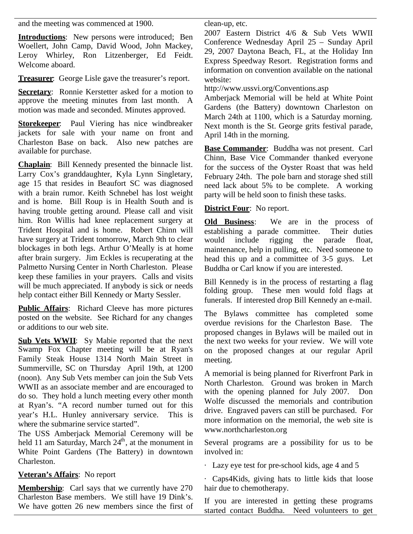and the meeting was commenced at 1900.

**Introductions**: New persons were introduced; Ben Woellert, John Camp, David Wood, John Mackey, Leroy Whirley, Ron Litzenberger, Ed Feidt. Welcome aboard.

**Treasurer**: George Lisle gave the treasurer's report.

**Secretary:** Ronnie Kerstetter asked for a motion to approve the meeting minutes from last month. A motion was made and seconded. Minutes approved.

**Storekeeper**: Paul Viering has nice windbreaker jackets for sale with your name on front and Charleston Base on back. Also new patches are available for purchase.

**Chaplain**: Bill Kennedy presented the binnacle list. Larry Cox's granddaughter, Kyla Lynn Singletary, age 15 that resides in Beaufort SC was diagnosed with a brain rumor. Keith Schnebel has lost weight and is home. Bill Roup is in Health South and is having trouble getting around. Please call and visit him. Ron Willis had knee replacement surgery at Old Business: Trident Hospital and is home. Robert Chinn will have surgery at Trident tomorrow, March 9th to clear blockages in both legs. Arthur O'Meally is at home after brain surgery. Jim Eckles is recuperating at the Palmetto Nursing Center in North Charleston. Please keep these families in your prayers. Calls and visits will be much appreciated. If anybody is sick or needs help contact either Bill Kennedy or Marty Sessler.

**Public Affairs**: Richard Cleeve has more pictures posted on the website. See Richard for any changes or additions to our web site.

**Sub Vets WWII**: Sy Mabie reported that the next Swamp Fox Chapter meeting will be at Ryan's Family Steak House 1314 North Main Street in Summerville, SC on Thursday April 19th, at 1200 (noon). Any Sub Vets member can join the Sub Vets WWII as an associate member and are encouraged to do so. They hold a lunch meeting every other month at Ryan's. "A record number turned out for this year's H.L. Hunley anniversary service. This is where the submarine service started".

The USS Amberjack Memorial Ceremony will be held 11 am Saturday, March 24<sup>th</sup>, at the monument in White Point Gardens (The Battery) in downtown Charleston.

# **Veteran's Affairs**: No report

**Membership**: Carl says that we currently have 270 Charleston Base members. We still have 19 Dink's. We have gotten 26 new members since the first of clean-up, etc.

2007 Eastern District 4/6 & Sub Vets WWII Conference Wednesday April 25 – Sunday April 29, 2007 Daytona Beach, FL, at the Holiday Inn Express Speedway Resort. Registration forms and information on convention available on the national website:

http://www.ussvi.org/Conventions.asp

Amberjack Memorial will be held at White Point Gardens (the Battery) downtown Charleston on March 24th at 1100, which is a Saturday morning. Next month is the St. George grits festival parade, April 14th in the morning.

**Base Commander**: Buddha was not present. Carl Chinn, Base Vice Commander thanked everyone for the success of the Oyster Roast that was held February 24th. The pole barn and storage shed still need lack about 5% to be complete. A working party will be held soon to finish these tasks.

# **District Four**: No report.

We are in the process of establishing a parade committee. Their duties would include rigging the parade float, maintenance, help in pulling, etc. Need someone to head this up and a committee of 3-5 guys. Let Buddha or Carl know if you are interested.

Bill Kennedy is in the process of restarting a flag folding group. These men would fold flags at funerals. If interested drop Bill Kennedy an e-mail.

The Bylaws committee has completed some overdue revisions for the Charleston Base. The proposed changes in Bylaws will be mailed out in the next two weeks for your review. We will vote on the proposed changes at our regular April meeting.

A memorial is being planned for Riverfront Park in North Charleston. Ground was broken in March with the opening planned for July 2007. Don Wolfe discussed the memorials and contribution drive. Engraved pavers can still be purchased. For more information on the memorial, the web site is www.northcharleston.org

Several programs are a possibility for us to be involved in:

· Lazy eye test for pre-school kids, age 4 and 5

· Caps4Kids, giving hats to little kids that loose hair due to chemotherapy.

If you are interested in getting these programs started contact Buddha. Need volunteers to get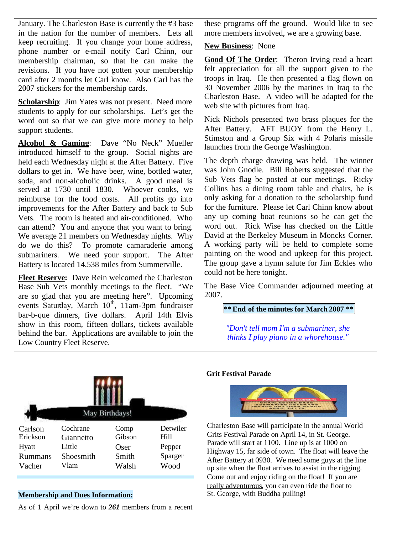January. The Charleston Base is currently the #3 base in the nation for the number of members. Lets all keep recruiting. If you change your home address, phone number or e-mail notify Carl Chinn, our membership chairman, so that he can make the revisions. If you have not gotten your membership card after 2 months let Carl know. Also Carl has the 2007 stickers for the membership cards.

**Scholarship**: Jim Yates was not present. Need more students to apply for our scholarships. Let's get the word out so that we can give more money to help support students.

**Alcohol & Gaming**: Dave "No Neck" Mueller introduced himself to the group. Social nights are held each Wednesday night at the After Battery. Five dollars to get in. We have beer, wine, bottled water, soda, and non-alcoholic drinks. A good meal is served at 1730 until 1830. Whoever cooks, we reimburse for the food costs. All profits go into improvements for the After Battery and back to Sub Vets. The room is heated and air-conditioned. Who can attend? You and anyone that you want to bring. We average 21 members on Wednesday nights. Why do we do this? To promote camaraderie among submariners. We need your support. The After Battery is located 14.538 miles from Summerville.

**Fleet Reserve:** Dave Rein welcomed the Charleston Base Sub Vets monthly meetings to the fleet. "We are so glad that you are meeting here". Upcoming events Saturday, March  $10^{th}$ ,  $11$ am-3pm fundraiser bar-b-que dinners, five dollars. April 14th Elvis show in this room, fifteen dollars, tickets available behind the bar. Applications are available to join the Low Country Fleet Reserve.

these programs off the ground. Would like to see more members involved, we are a growing base.

### **New Business**: None

**Good Of The Order**: Theron Irving read a heart felt appreciation for all the support given to the troops in Iraq. He then presented a flag flown on 30 November 2006 by the marines in Iraq to the Charleston Base. A video will be adapted for the web site with pictures from Iraq.

Nick Nichols presented two brass plaques for the After Battery. AFT BUOY from the Henry L. Stimston and a Group Six with 4 Polaris missile launches from the George Washington.

The depth charge drawing was held. The winner was John Gnodle. Bill Roberts suggested that the Sub Vets flag be posted at our meetings. Ricky Collins has a dining room table and chairs, he is only asking for a donation to the scholarship fund for the furniture. Please let Carl Chinn know about any up coming boat reunions so he can get the word out. Rick Wise has checked on the Little David at the Berkeley Museum in Moncks Corner. A working party will be held to complete some painting on the wood and upkeep for this project. The group gave a hymn salute for Jim Eckles who could not be here tonight.

The Base Vice Commander adjourned meeting at 2007.

### **\*\* End of the minutes for March 2007 \*\***

*"Don't tell mom I'm a submariner, she thinks I play piano in a whorehouse."*



### **Membership and Dues Information:**

As of 1 April we're down to *261* members from a recent

### **Grit Festival Parade**



Charleston Base will participate in the annual World Grits Festival Parade on April 14, in St. George. Parade will start at 1100. Line up is at 1000 on Highway 15, far side of town. The float will leave the After Battery at 0930. We need some guys at the line up site when the float arrives to assist in the rigging. Come out and enjoy riding on the float! If you are really adventurous, you can even ride the float to St. George, with Buddha pulling!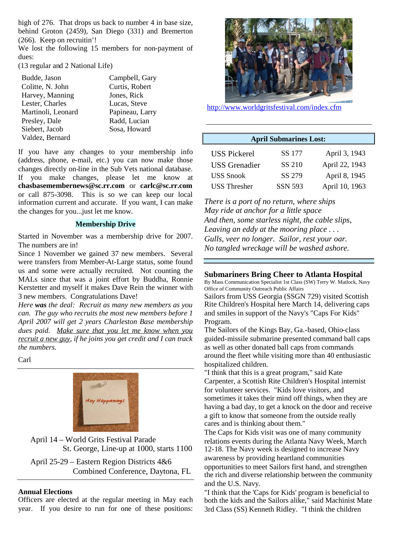high of 276. That drops us back to number 4 in base size, behind Groton (2459), San Diego (331) and Bremerton (266). Keep on recruitin'!

We lost the following 15 members for non-payment of dues:

(13 regular and 2 National Life)

Budde, Jason Campbell, Gary Colitte, N. John Curtis, Robert Harvey, Manning Jones, Rick Lester, Charles Lucas, Steve Martinoli, Leonard Papineau, Larry Presley, Dale Radd, Lucian Siebert, Jacob Sosa, Howard Valdez, Bernard

If you have any changes to your membership info (address, phone, e-mail, etc.) you can now make those changes directly on-line in the Sub Vets national database. If you make changes, please let me know at **chasbasemembernews@sc.rr.com** or **carlc@sc.rr.com** or call 875-3098. This is so we can keep our local information current and accurate. If you want, I can make the changes for you...just let me know.

#### **Membership Drive**

Started in November was a membership drive for 2007. The numbers are in!

Since 1 November we gained 37 new members. Several were transfers from Member-At-Large status, some found us and some were actually recruited. Not counting the MALs since that was a joint effort by Buddha, Ronnie Kerstetter and myself it makes Dave Rein the winner with 3 new members. Congratulations Dave!

*Here was the deal: Recruit as many new members as you can. The guy who recruits the most new members before 1 April 2007 will get 2 years Charleston Base membership dues paid. Make sure that you let me know when you recruit a new guy, if he joins you get credit and I can track the numbers.*

Carl



April 14 – World Grits Festival Parade St. George, Line-up at 1000, starts 1100

April 25-29 – Eastern Region Districts 4&6 Combined Conference, Daytona, FL

#### **Annual Elections**

Officers are elected at the regular meeting in May each year. If you desire to run for one of these positions:



http://www.worldgritsfestival.com/index.cfm

## **April Submarines Lost:**

| <b>USS Pickerel</b> | SS 177         | April 3, 1943  |
|---------------------|----------------|----------------|
| USS Grenadier       | SS 210         | April 22, 1943 |
| <b>USS</b> Snook    | SS 279         | April 8, 1945  |
| <b>USS</b> Thresher | <b>SSN 593</b> | April 10, 1963 |

*There is a port of no return, where ships May ride at anchor for a little space And then, some starless night, the cable slips, Leaving an eddy at the mooring place . . . Gulls, veer no longer. Sailor, rest your oar. No tangled wreckage will be washed ashore.*

#### **Submariners Bring Cheer to Atlanta Hospital**

By Mass Communication Specialist 1st Class (SW) Terry W. Matlock, Navy Office of Community Outreach Public Affairs

Sailors from USS Georgia (SSGN 729) visited Scottish Rite Children's Hospital here March 14, delivering caps and smiles in support of the Navy's "Caps For Kids" Program.

The Sailors of the Kings Bay, Ga.-based, Ohio-class guided-missile submarine presented command ball caps as well as other donated ball caps from commands around the fleet while visiting more than 40 enthusiastic hospitalized children.

"I think that this is a great program," said Kate Carpenter, a Scottish Rite Children's Hospital internist for volunteer services. "Kids love visitors, and sometimes it takes their mind off things, when they are having a bad day, to get a knock on the door and receive a gift to know that someone from the outside really cares and is thinking about them."

The Caps for Kids visit was one of many community relations events during the Atlanta Navy Week, March 12-18. The Navy week is designed to increase Navy awareness by providing heartland communities opportunities to meet Sailors first hand, and strengthen the rich and diverse relationship between the community and the U.S. Navy.

"I think that the 'Caps for Kids' program is beneficial to both the kids and the Sailors alike," said Machinist Mate 3rd Class (SS) Kenneth Ridley. "I think the children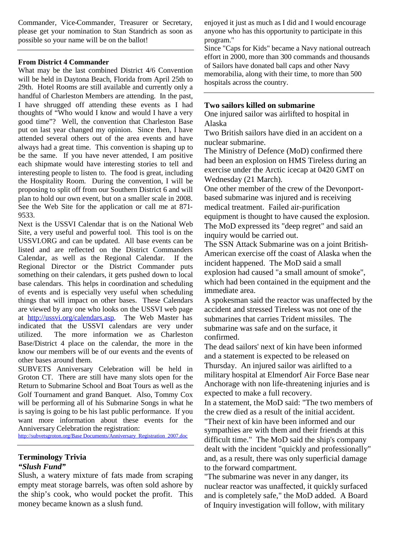Commander, Vice-Commander, Treasurer or Secretary, please get your nomination to Stan Standrich as soon as possible so your name will be on the ballot!

### **From District 4 Commander**

What may be the last combined District 4/6 Convention will be held in Daytona Beach, Florida from April 25th to 29th. Hotel Rooms are still available and currently only a handful of Charleston Members are attending. In the past, I have shrugged off attending these events as I had thoughts of "Who would I know and would I have a very good time"? Well, the convention that Charleston Base put on last year changed my opinion. Since then, I have attended several others out of the area events and have always had a great time. This convention is shaping up to be the same. If you have never attended, I am positive each shipmate would have interesting stories to tell and interesting people to listen to. The food is great, including the Hospitality Room. During the convention, I will be proposing to split off from our Southern District 6 and will plan to hold our own event, but on a smaller scale in 2008. See the Web Site for the application or call me at 871- 9533.

Next is the USSVI Calendar that is on the National Web Site, a very useful and powerful tool. This tool is on the USSVI.ORG and can be updated. All base events can be listed and are reflected on the District Commanders Calendar, as well as the Regional Calendar. If the Regional Director or the District Commander puts something on their calendars, it gets pushed down to local base calendars. This helps in coordination and scheduling of events and is especially very useful when scheduling things that will impact on other bases. These Calendars are viewed by any one who looks on the USSVI web page at http://ussvi.org/calendars.asp. The Web Master has indicated that the USSVI calendars are very under utilized. The more information we as Charleston Base/District 4 place on the calendar, the more in the know our members will be of our events and the events of other bases around them.

SUBVETS Anniversary Celebration will be held in Groton CT. There are still have many slots open for the Return to Submarine School and Boat Tours as well as the Golf Tournament and grand Banquet. Also, Tommy Cox will be performing all of his Submarine Songs in what he is saying is going to be his last public performance. If you want more information about these events for the Anniversary Celebration the registration:

http://subvetsgroton.org/Base Documents/Anniversary\_Registration\_2007.doc

### **Terminology Trivia** *"Slush Fund"*

Slush, a watery mixture of fats made from scraping empty meat storage barrels, was often sold ashore by the ship's cook, who would pocket the profit. This money became known as a slush fund.

enjoyed it just as much as I did and I would encourage anyone who has this opportunity to participate in this program."

Since "Caps for Kids" became a Navy national outreach effort in 2000, more than 300 commands and thousands of Sailors have donated ball caps and other Navy memorabilia, along with their time, to more than 500 hospitals across the country.

### **Two sailors killed on submarine**

One injured sailor was airlifted to hospital in Alaska

Two British sailors have died in an accident on a nuclear submarine.

The Ministry of Defence (MoD) confirmed there had been an explosion on HMS Tireless during an exercise under the Arctic icecap at 0420 GMT on Wednesday (21 March).

One other member of the crew of the Devonportbased submarine was injured and is receiving medical treatment. Failed air-purification equipment is thought to have caused the explosion. The MoD expressed its "deep regret" and said an inquiry would be carried out.

The SSN Attack Submarine was on a joint British-American exercise off the coast of Alaska when the incident happened. The MoD said a small explosion had caused "a small amount of smoke", which had been contained in the equipment and the immediate area.

A spokesman said the reactor was unaffected by the accident and stressed Tireless was not one of the submarines that carries Trident missiles. The submarine was safe and on the surface, it confirmed.

The dead sailors' next of kin have been informed and a statement is expected to be released on Thursday. An injured sailor was airlifted to a military hospital at Elmendorf Air Force Base near Anchorage with non life-threatening injuries and is expected to make a full recovery.

In a statement, the MoD said: "The two members of the crew died as a result of the initial accident.

"Their next of kin have been informed and our sympathies are with them and their friends at this difficult time." The MoD said the ship's company dealt with the incident "quickly and professionally" and, as a result, there was only superficial damage to the forward compartment.

"The submarine was never in any danger, its nuclear reactor was unaffected, it quickly surfaced and is completely safe," the MoD added. A Board of Inquiry investigation will follow, with military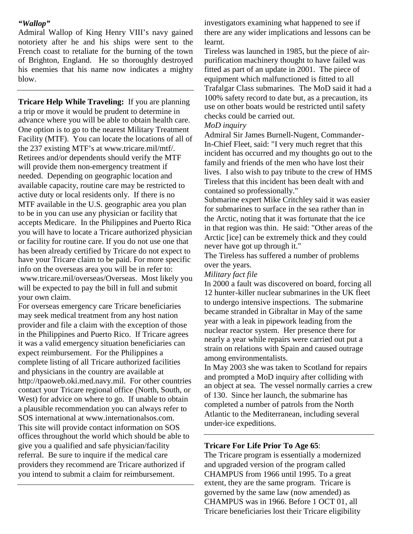### *"Wallop"*

Admiral Wallop of King Henry VIII's navy gained notoriety after he and his ships were sent to the French coast to retaliate for the burning of the town of Brighton, England. He so thoroughly destroyed his enemies that his name now indicates a mighty blow.

**Tricare Help While Traveling:** If you are planning a trip or move it would be prudent to determine in advance where you will be able to obtain health care. One option is to go to the nearest Military Treatment Facility (MTF). You can locate the locations of all of the 237 existing MTF's at www.tricare.mil/mtf/. Retirees and/or dependents should verify the MTF will provide them non-emergency treatment if needed. Depending on geographic location and available capacity, routine care may be restricted to active duty or local residents only. If there is no MTF available in the U.S. geographic area you plan to be in you can use any physician or facility that accepts Medicare. In the Philippines and Puerto Rica you will have to locate a Tricare authorized physician or facility for routine care. If you do not use one that has been already certified by Tricare do not expect to have your Tricare claim to be paid. For more specific info on the overseas area you will be in refer to: www.tricare.mil/overseas/Overseas. Most likely you will be expected to pay the bill in full and submit your own claim.

For overseas emergency care Tricare beneficiaries may seek medical treatment from any host nation provider and file a claim with the exception of those in the Philippines and Puerto Rico. If Tricare agrees it was a valid emergency situation beneficiaries can expect reimbursement. For the Philippines a complete listing of all Tricare authorized facilities and physicians in the country are available at http://tpaoweb.oki.med.navy.mil. For other countries contact your Tricare regional office (North, South, or West) for advice on where to go. If unable to obtain a plausible recommendation you can always refer to SOS international at www.internationalsos.com. This site will provide contact information on SOS offices throughout the world which should be able to give you a qualified and safe physician/facility referral. Be sure to inquire if the medical care providers they recommend are Tricare authorized if you intend to submit a claim for reimbursement.

investigators examining what happened to see if there are any wider implications and lessons can be learnt.

Tireless was launched in 1985, but the piece of airpurification machinery thought to have failed was fitted as part of an update in 2001. The piece of equipment which malfunctioned is fitted to all Trafalgar Class submarines. The MoD said it had a 100% safety record to date but, as a precaution, its use on other boats would be restricted until safety checks could be carried out.

### *MoD inquiry*

Admiral Sir James Burnell-Nugent, Commander-In-Chief Fleet, said: "I very much regret that this incident has occurred and my thoughts go out to the family and friends of the men who have lost their lives. I also wish to pay tribute to the crew of HMS Tireless that this incident has been dealt with and contained so professionally."

Submarine expert Mike Critchley said it was easier for submarines to surface in the sea rather than in the Arctic, noting that it was fortunate that the ice in that region was thin. He said: "Other areas of the Arctic [ice] can be extremely thick and they could never have got up through it."

The Tireless has suffered a number of problems over the years.

### *Military fact file*

In 2000 a fault was discovered on board, forcing all 12 hunter-killer nuclear submarines in the UK fleet to undergo intensive inspections. The submarine became stranded in Gibraltar in May of the same year with a leak in pipework leading from the nuclear reactor system. Her presence there for nearly a year while repairs were carried out put a strain on relations with Spain and caused outrage among environmentalists.

In May 2003 she was taken to Scotland for repairs and prompted a MoD inquiry after colliding with an object at sea. The vessel normally carries a crew of 130. Since her launch, the submarine has completed a number of patrols from the North Atlantic to the Mediterranean, including several under-ice expeditions.

### **Tricare For Life Prior To Age 65**:

The Tricare program is essentially a modernized and upgraded version of the program called CHAMPUS from 1966 until 1995. To a great extent, they are the same program. Tricare is governed by the same law (now amended) as CHAMPUS was in 1966. Before 1 OCT 01, all Tricare beneficiaries lost their Tricare eligibility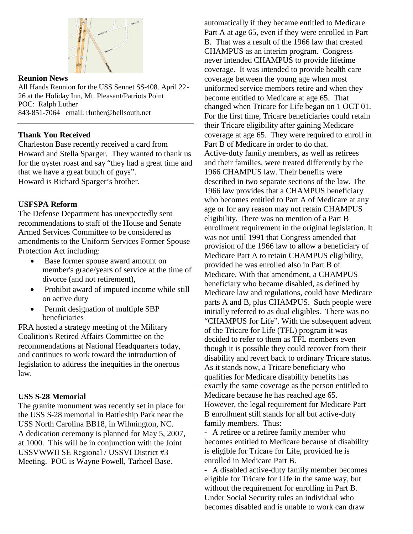

## **Reunion News**

All Hands Reunion for the USS Sennet SS-408. April 22- 26 at the Holiday Inn, Mt. Pleasant/Patriots Point POC: Ralph Luther 843-851-7064 email: rluther@bellsouth.net

## **Thank You Received**

Charleston Base recently received a card from Howard and Stella Sparger. They wanted to thank us for the oyster roast and say "they had a great time and that we have a great bunch of guys". Howard is Richard Sparger's brother.

### **USFSPA Reform**

The Defense Department has unexpectedly sent recommendations to staff of the House and Senate Armed Services Committee to be considered as amendments to the Uniform Services Former Spouse Protection Act including:

- Base former spouse award amount on member's grade/years of service at the time of divorce (and not retirement),
- Prohibit award of imputed income while still on active duty
- Permit designation of multiple SBP beneficiaries

FRA hosted a strategy meeting of the Military Coalition's Retired Affairs Committee on the recommendations at National Headquarters today, and continues to work toward the introduction of legislation to address the inequities in the onerous law.

### **USS S-28 Memorial**

The granite monument was recently set in place for the USS S-28 memorial in Battleship Park near the USS North Carolina BB18, in Wilmington, NC. A dedication ceremony is planned for May 5, 2007, at 1000. This will be in conjunction with the Joint USSVWWII SE Regional / USSVI District #3 Meeting. POC is Wayne Powell, Tarheel Base.

automatically if they became entitled to Medicare Part A at age 65, even if they were enrolled in Part B. That was a result of the 1966 law that created CHAMPUS as an interim program. Congress never intended CHAMPUS to provide lifetime coverage. It was intended to provide health care coverage between the young age when most uniformed service members retire and when they become entitled to Medicare at age 65. That changed when Tricare for Life began on 1 OCT 01. For the first time, Tricare beneficiaries could retain their Tricare eligibility after gaining Medicare coverage at age 65. They were required to enroll in Part B of Medicare in order to do that. Active-duty family members, as well as retirees and their families, were treated differently by the 1966 CHAMPUS law. Their benefits were described in two separate sections of the law. The 1966 law provides that a CHAMPUS beneficiary who becomes entitled to Part A of Medicare at any age or for any reason may not retain CHAMPUS eligibility. There was no mention of a Part B enrollment requirement in the original legislation. It was not until 1991 that Congress amended that provision of the 1966 law to allow a beneficiary of Medicare Part A to retain CHAMPUS eligibility, provided he was enrolled also in Part B of Medicare. With that amendment, a CHAMPUS beneficiary who became disabled, as defined by Medicare law and regulations, could have Medicare parts A and B, plus CHAMPUS. Such people were initially referred to as dual eligibles. There was no "CHAMPUS for Life". With the subsequent advent of the Tricare for Life (TFL) program it was decided to refer to them as TFL members even though it is possible they could recover from their disability and revert back to ordinary Tricare status. As it stands now, a Tricare beneficiary who qualifies for Medicare disability benefits has exactly the same coverage as the person entitled to Medicare because he has reached age 65. However, the legal requirement for Medicare Part B enrollment still stands for all but active-duty family members. Thus:

- A retiree or a retiree family member who becomes entitled to Medicare because of disability is eligible for Tricare for Life, provided he is enrolled in Medicare Part B.

- A disabled active-duty family member becomes eligible for Tricare for Life in the same way, but without the requirement for enrolling in Part B. Under Social Security rules an individual who becomes disabled and is unable to work can draw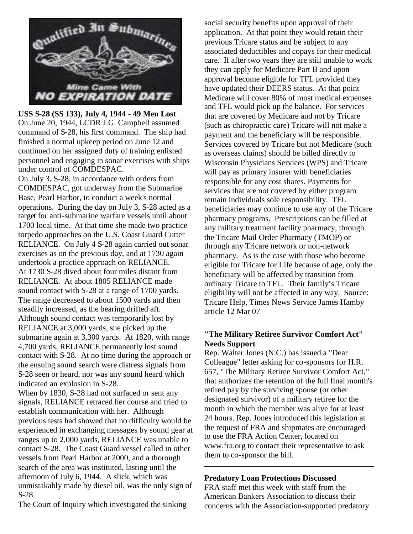

**USS S-28 (SS 133), July 4, 1944 - 49 Men Lost** On June 20, 1944, LCDR J.G. Campbell assumed command of S-28, his first command. The ship had finished a normal upkeep period on June 12 and continued on her assigned duty of training enlisted personnel and engaging in sonar exercises with ships under control of COMDESPAC.

On July 3, S-28, in accordance with orders from COMDESPAC, got underway from the Submarine Base, Pearl Harbor, to conduct a week's normal operations. During the day on July 3, S-28 acted as a target for anti-submarine warfare vessels until about 1700 local time. At that time she made two practice torpedo approaches on the U.S. Coast Guard Cutter RELIANCE. On July 4 S-28 again carried out sonar exercises as on the previous day, and at 1730 again undertook a practice approach on RELIANCE. At 1730 S-28 dived about four miles distant from RELIANCE. At about 1805 RELIANCE made sound contact with S-28 at a range of 1700 yards. The range decreased to about 1500 yards and then steadily increased, as the bearing drifted aft. Although sound contact was temporarily lost by RELIANCE at 3,000 yards, she picked up the submarine again at 3,300 yards. At 1820, with range 4,700 yards, RELIANCE permanently lost sound contact with S-28. At no time during the approach or the ensuing sound search were distress signals from S-28 seen or heard, nor was any sound heard which indicated an explosion in S-28.

When by 1830, S-28 had not surfaced or sent any signals, RELIANCE retraced her course and tried to establish communication with her. Although previous tests had showed that no difficulty would be experienced in exchanging messages by sound gear at ranges up to 2,000 yards, RELIANCE was unable to contact S-28. The Coast Guard vessel called in other vessels from Pearl Harbor at 2000, and a thorough search of the area was instituted, lasting until the afternoon of July 6, 1944. A slick, which was unmistakably made by diesel oil, was the only sign of S-28.

The Court of Inquiry which investigated the sinking

social security benefits upon approval of their application. At that point they would retain their previous Tricare status and be subject to any associated deductibles and copays for their medical care. If after two years they are still unable to work they can apply for Medicare Part B and upon approval become eligible for TFL provided they have updated their DEERS status. At that point Medicare will cover 80% of most medical expenses and TFL would pick up the balance. For services that are covered by Medicare and not by Tricare (such as chiropractic care) Tricare will not make a payment and the beneficiary will be responsible. Services covered by Tricare but not Medicare (such as overseas claims) should be billed directly to Wisconsin Physicians Services (WPS) and Tricare will pay as primary insurer with beneficiaries responsible for any cost shares. Payments for services that are not covered by either program remain individuals sole responsibility. TFL beneficiaries may continue to use any of the Tricare pharmacy programs. Prescriptions can be filled at any military treatment facility pharmacy, through the Tricare Mail Order Pharmacy (TMOP) or through any Tricare network or non-network pharmacy. As is the case with those who become eligible for Tricare for Life because of age, only the beneficiary will be affected by transition from ordinary Tricare to TFL. Their family's Tricare eligibility will not be affected in any way. Source: Tricare Help, Times News Service James Hamby article 12 Mar 07

## **"The Military Retiree Survivor Comfort Act" Needs Support**

Rep. Walter Jones (N.C.) has issued a "Dear Colleague" letter asking for co-sponsors for H.R. 657, "The Military Retiree Survivor Comfort Act," that authorizes the retention of the full final month's retired pay by the surviving spouse (or other designated survivor) of a military retiree for the month in which the member was alive for at least 24 hours. Rep. Jones introduced this legislation at the request of FRA and shipmates are encouraged to use the FRA Action Center, located on www.fra.org to contact their representative to ask them to co-sponsor the bill.

# **Predatory Loan Protections Discussed**

FRA staff met this week with staff from the American Bankers Association to discuss their concerns with the Association-supported predatory